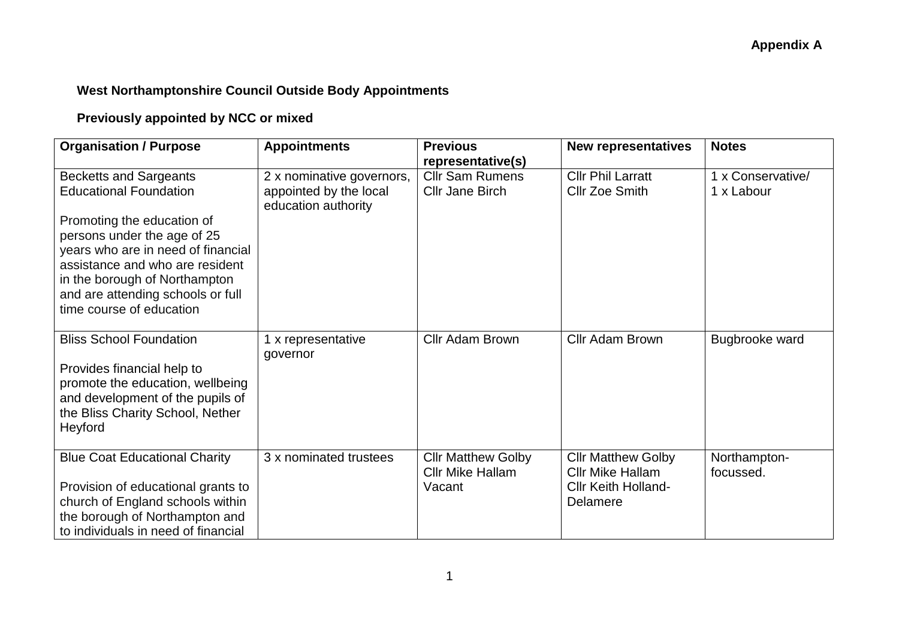## **West Northamptonshire Council Outside Body Appointments**

# **Previously appointed by NCC or mixed**

| <b>Organisation / Purpose</b>                                                                                                                                                                                                                                                                          | <b>Appointments</b>                                                        | <b>Previous</b><br>representative(s)                           | <b>New representatives</b>                                                                     | <b>Notes</b>                    |
|--------------------------------------------------------------------------------------------------------------------------------------------------------------------------------------------------------------------------------------------------------------------------------------------------------|----------------------------------------------------------------------------|----------------------------------------------------------------|------------------------------------------------------------------------------------------------|---------------------------------|
| <b>Becketts and Sargeants</b><br><b>Educational Foundation</b><br>Promoting the education of<br>persons under the age of 25<br>years who are in need of financial<br>assistance and who are resident<br>in the borough of Northampton<br>and are attending schools or full<br>time course of education | 2 x nominative governors,<br>appointed by the local<br>education authority | <b>Cllr Sam Rumens</b><br><b>Cllr Jane Birch</b>               | <b>Cllr Phil Larratt</b><br><b>Cllr Zoe Smith</b>                                              | 1 x Conservative/<br>1 x Labour |
| <b>Bliss School Foundation</b><br>Provides financial help to<br>promote the education, wellbeing<br>and development of the pupils of<br>the Bliss Charity School, Nether<br>Heyford                                                                                                                    | 1 x representative<br>governor                                             | Cllr Adam Brown                                                | Cllr Adam Brown                                                                                | Bugbrooke ward                  |
| <b>Blue Coat Educational Charity</b><br>Provision of educational grants to<br>church of England schools within<br>the borough of Northampton and<br>to individuals in need of financial                                                                                                                | 3 x nominated trustees                                                     | <b>Cllr Matthew Golby</b><br><b>Cllr Mike Hallam</b><br>Vacant | <b>Cllr Matthew Golby</b><br><b>Cllr Mike Hallam</b><br><b>CIIr Keith Holland-</b><br>Delamere | Northampton-<br>focussed.       |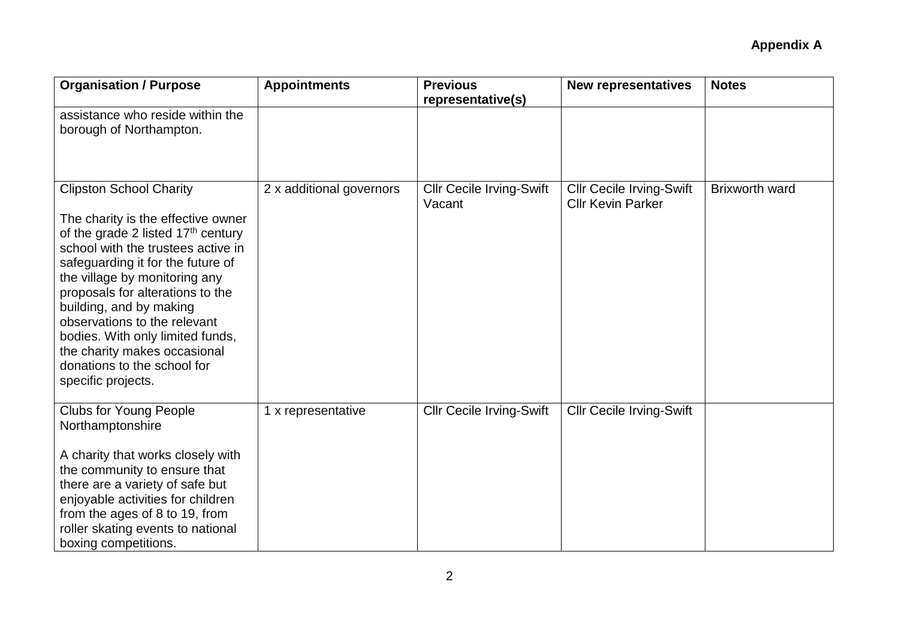| <b>Organisation / Purpose</b>                                                                                                                                                                                                                                                                                                                                                                                                                    | <b>Appointments</b>      | <b>Previous</b><br>representative(s)      | <b>New representatives</b>                                  | <b>Notes</b>          |
|--------------------------------------------------------------------------------------------------------------------------------------------------------------------------------------------------------------------------------------------------------------------------------------------------------------------------------------------------------------------------------------------------------------------------------------------------|--------------------------|-------------------------------------------|-------------------------------------------------------------|-----------------------|
| assistance who reside within the<br>borough of Northampton.                                                                                                                                                                                                                                                                                                                                                                                      |                          |                                           |                                                             |                       |
| <b>Clipston School Charity</b><br>The charity is the effective owner<br>of the grade 2 listed $17th$ century<br>school with the trustees active in<br>safeguarding it for the future of<br>the village by monitoring any<br>proposals for alterations to the<br>building, and by making<br>observations to the relevant<br>bodies. With only limited funds,<br>the charity makes occasional<br>donations to the school for<br>specific projects. | 2 x additional governors | <b>Cllr Cecile Irving-Swift</b><br>Vacant | <b>Cllr Cecile Irving-Swift</b><br><b>Cllr Kevin Parker</b> | <b>Brixworth ward</b> |
| <b>Clubs for Young People</b><br>Northamptonshire<br>A charity that works closely with<br>the community to ensure that<br>there are a variety of safe but<br>enjoyable activities for children<br>from the ages of 8 to 19, from<br>roller skating events to national<br>boxing competitions.                                                                                                                                                    | 1 x representative       | <b>Cllr Cecile Irving-Swift</b>           | <b>Cllr Cecile Irving-Swift</b>                             |                       |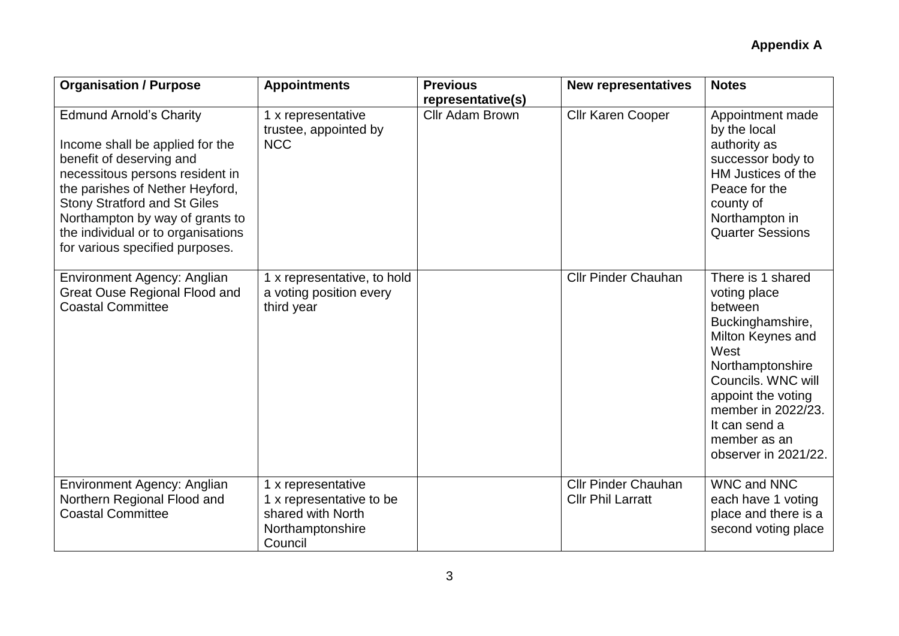| <b>Organisation / Purpose</b>                                                                                                                                                                                                                                                                                          | <b>Appointments</b>                                                                                | <b>Previous</b>                      | <b>New representatives</b>                             | <b>Notes</b>                                                                                                                                                                                                                                 |
|------------------------------------------------------------------------------------------------------------------------------------------------------------------------------------------------------------------------------------------------------------------------------------------------------------------------|----------------------------------------------------------------------------------------------------|--------------------------------------|--------------------------------------------------------|----------------------------------------------------------------------------------------------------------------------------------------------------------------------------------------------------------------------------------------------|
| <b>Edmund Arnold's Charity</b><br>Income shall be applied for the<br>benefit of deserving and<br>necessitous persons resident in<br>the parishes of Nether Heyford,<br><b>Stony Stratford and St Giles</b><br>Northampton by way of grants to<br>the individual or to organisations<br>for various specified purposes. | 1 x representative<br>trustee, appointed by<br><b>NCC</b>                                          | representative(s)<br>Cllr Adam Brown | Cllr Karen Cooper                                      | Appointment made<br>by the local<br>authority as<br>successor body to<br>HM Justices of the<br>Peace for the<br>county of<br>Northampton in<br><b>Quarter Sessions</b>                                                                       |
| Environment Agency: Anglian<br>Great Ouse Regional Flood and<br><b>Coastal Committee</b>                                                                                                                                                                                                                               | 1 x representative, to hold<br>a voting position every<br>third year                               |                                      | <b>Cllr Pinder Chauhan</b>                             | There is 1 shared<br>voting place<br>between<br>Buckinghamshire,<br>Milton Keynes and<br>West<br>Northamptonshire<br>Councils. WNC will<br>appoint the voting<br>member in 2022/23.<br>It can send a<br>member as an<br>observer in 2021/22. |
| <b>Environment Agency: Anglian</b><br>Northern Regional Flood and<br><b>Coastal Committee</b>                                                                                                                                                                                                                          | 1 x representative<br>1 x representative to be<br>shared with North<br>Northamptonshire<br>Council |                                      | <b>Cllr Pinder Chauhan</b><br><b>Cllr Phil Larratt</b> | <b>WNC and NNC</b><br>each have 1 voting<br>place and there is a<br>second voting place                                                                                                                                                      |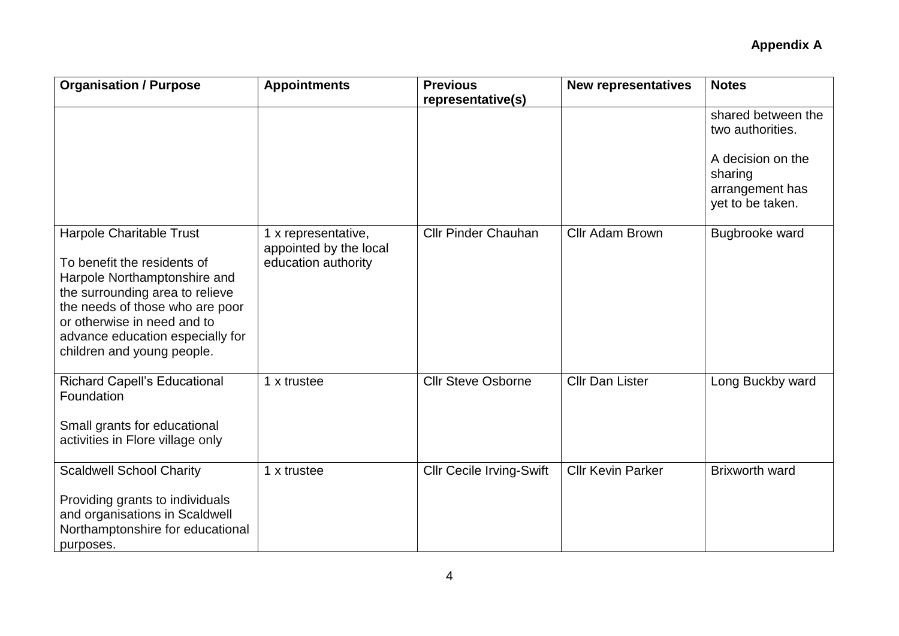| <b>Organisation / Purpose</b>                                                                                                                                                                                                                                  | <b>Appointments</b>                                                  | <b>Previous</b>                 | <b>New representatives</b> | <b>Notes</b>                                                                                                  |
|----------------------------------------------------------------------------------------------------------------------------------------------------------------------------------------------------------------------------------------------------------------|----------------------------------------------------------------------|---------------------------------|----------------------------|---------------------------------------------------------------------------------------------------------------|
|                                                                                                                                                                                                                                                                |                                                                      | representative(s)               |                            | shared between the<br>two authorities.<br>A decision on the<br>sharing<br>arrangement has<br>yet to be taken. |
| Harpole Charitable Trust<br>To benefit the residents of<br>Harpole Northamptonshire and<br>the surrounding area to relieve<br>the needs of those who are poor<br>or otherwise in need and to<br>advance education especially for<br>children and young people. | 1 x representative,<br>appointed by the local<br>education authority | <b>Cllr Pinder Chauhan</b>      | Cllr Adam Brown            | Bugbrooke ward                                                                                                |
| <b>Richard Capell's Educational</b><br>Foundation<br>Small grants for educational<br>activities in Flore village only                                                                                                                                          | 1 x trustee                                                          | <b>Cllr Steve Osborne</b>       | <b>Cllr Dan Lister</b>     | Long Buckby ward                                                                                              |
| <b>Scaldwell School Charity</b><br>Providing grants to individuals<br>and organisations in Scaldwell<br>Northamptonshire for educational<br>purposes.                                                                                                          | 1 x trustee                                                          | <b>Cllr Cecile Irving-Swift</b> | <b>Cllr Kevin Parker</b>   | <b>Brixworth ward</b>                                                                                         |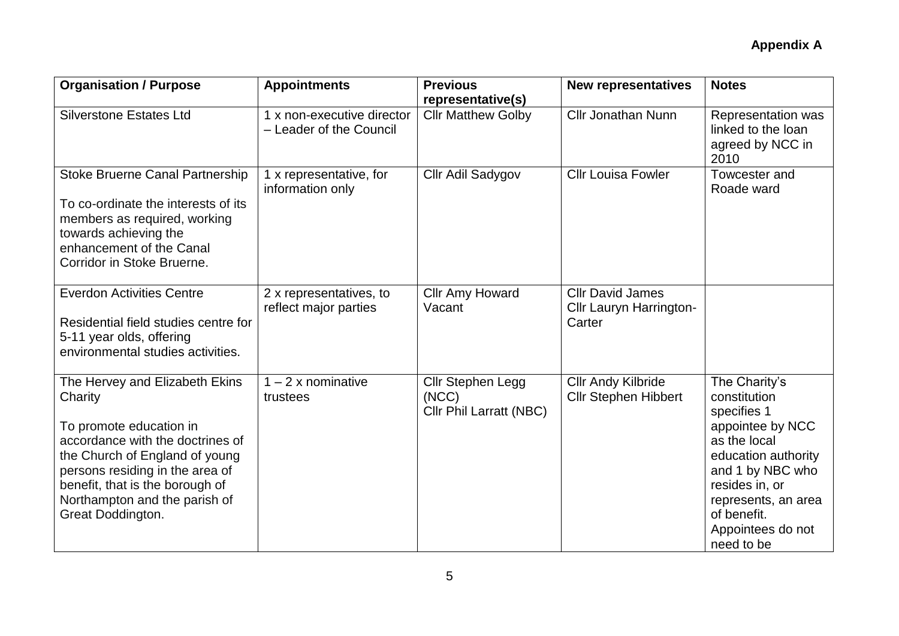| <b>Organisation / Purpose</b>                                                                                                                                                                                                                                          | <b>Appointments</b>                                   | <b>Previous</b><br>representative(s)                         | <b>New representatives</b>                                   | <b>Notes</b>                                                                                                                                                                                                           |
|------------------------------------------------------------------------------------------------------------------------------------------------------------------------------------------------------------------------------------------------------------------------|-------------------------------------------------------|--------------------------------------------------------------|--------------------------------------------------------------|------------------------------------------------------------------------------------------------------------------------------------------------------------------------------------------------------------------------|
| <b>Silverstone Estates Ltd</b>                                                                                                                                                                                                                                         | 1 x non-executive director<br>- Leader of the Council | <b>Cllr Matthew Golby</b>                                    | <b>Cllr Jonathan Nunn</b>                                    | Representation was<br>linked to the loan<br>agreed by NCC in<br>2010                                                                                                                                                   |
| <b>Stoke Bruerne Canal Partnership</b><br>To co-ordinate the interests of its<br>members as required, working<br>towards achieving the<br>enhancement of the Canal<br>Corridor in Stoke Bruerne.                                                                       | 1 x representative, for<br>information only           | Cllr Adil Sadygov                                            | <b>Cllr Louisa Fowler</b>                                    | Towcester and<br>Roade ward                                                                                                                                                                                            |
| <b>Everdon Activities Centre</b><br>Residential field studies centre for<br>5-11 year olds, offering<br>environmental studies activities.                                                                                                                              | 2 x representatives, to<br>reflect major parties      | Cllr Amy Howard<br>Vacant                                    | <b>CIIr David James</b><br>Cllr Lauryn Harrington-<br>Carter |                                                                                                                                                                                                                        |
| The Hervey and Elizabeth Ekins<br>Charity<br>To promote education in<br>accordance with the doctrines of<br>the Church of England of young<br>persons residing in the area of<br>benefit, that is the borough of<br>Northampton and the parish of<br>Great Doddington. | $1 - 2x$ nominative<br>trustees                       | Cllr Stephen Legg<br>(NCC)<br><b>Cllr Phil Larratt (NBC)</b> | <b>Cllr Andy Kilbride</b><br><b>Cllr Stephen Hibbert</b>     | The Charity's<br>constitution<br>specifies 1<br>appointee by NCC<br>as the local<br>education authority<br>and 1 by NBC who<br>resides in, or<br>represents, an area<br>of benefit.<br>Appointees do not<br>need to be |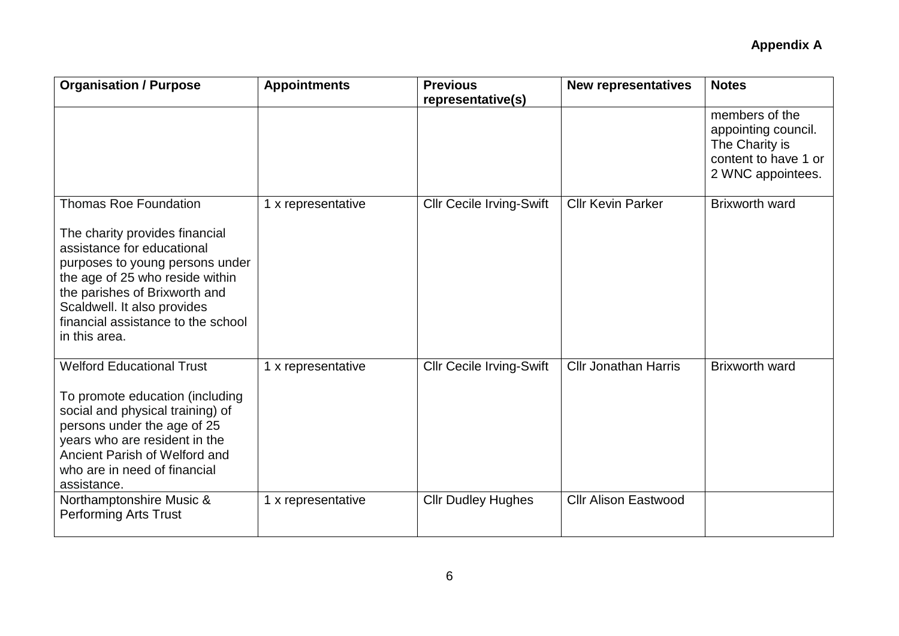| <b>Organisation / Purpose</b>                                                                                                                                                                                                                                                             | <b>Appointments</b> | <b>Previous</b><br>representative(s) | <b>New representatives</b>  | <b>Notes</b>                                                                                         |
|-------------------------------------------------------------------------------------------------------------------------------------------------------------------------------------------------------------------------------------------------------------------------------------------|---------------------|--------------------------------------|-----------------------------|------------------------------------------------------------------------------------------------------|
|                                                                                                                                                                                                                                                                                           |                     |                                      |                             | members of the<br>appointing council.<br>The Charity is<br>content to have 1 or<br>2 WNC appointees. |
| <b>Thomas Roe Foundation</b><br>The charity provides financial<br>assistance for educational<br>purposes to young persons under<br>the age of 25 who reside within<br>the parishes of Brixworth and<br>Scaldwell. It also provides<br>financial assistance to the school<br>in this area. | 1 x representative  | <b>Cllr Cecile Irving-Swift</b>      | <b>Cllr Kevin Parker</b>    | <b>Brixworth ward</b>                                                                                |
| <b>Welford Educational Trust</b><br>To promote education (including<br>social and physical training) of<br>persons under the age of 25<br>years who are resident in the<br>Ancient Parish of Welford and<br>who are in need of financial<br>assistance.                                   | 1 x representative  | <b>Cllr Cecile Irving-Swift</b>      | <b>Cllr Jonathan Harris</b> | <b>Brixworth ward</b>                                                                                |
| Northamptonshire Music &<br><b>Performing Arts Trust</b>                                                                                                                                                                                                                                  | 1 x representative  | <b>Cllr Dudley Hughes</b>            | <b>Cllr Alison Eastwood</b> |                                                                                                      |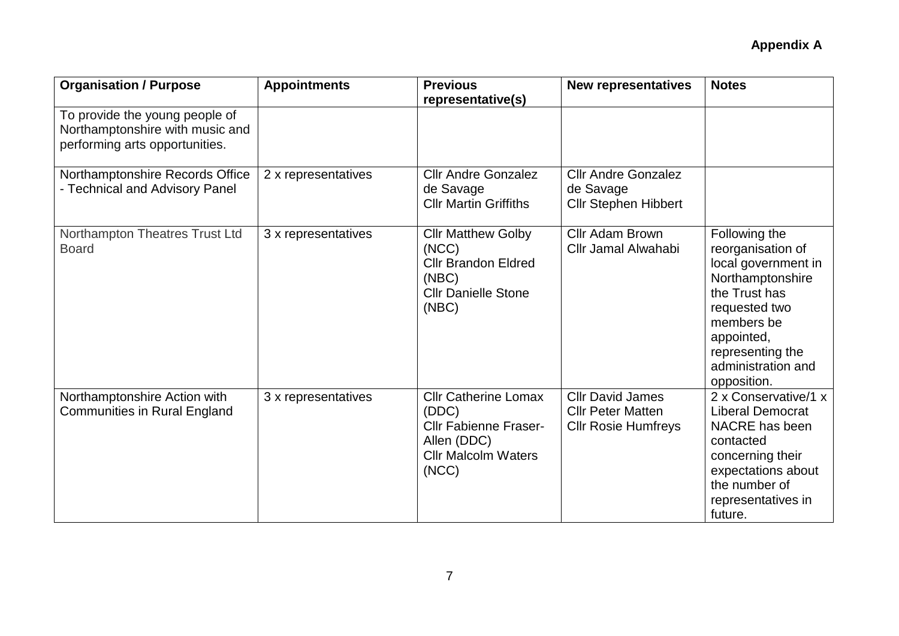| <b>Organisation / Purpose</b>                                                                       | <b>Appointments</b> | <b>Previous</b><br>representative(s)                                                                                       | <b>New representatives</b>                                                        | <b>Notes</b>                                                                                                                                                                                         |
|-----------------------------------------------------------------------------------------------------|---------------------|----------------------------------------------------------------------------------------------------------------------------|-----------------------------------------------------------------------------------|------------------------------------------------------------------------------------------------------------------------------------------------------------------------------------------------------|
| To provide the young people of<br>Northamptonshire with music and<br>performing arts opportunities. |                     |                                                                                                                            |                                                                                   |                                                                                                                                                                                                      |
| Northamptonshire Records Office<br>- Technical and Advisory Panel                                   | 2 x representatives | <b>Cllr Andre Gonzalez</b><br>de Savage<br><b>Cllr Martin Griffiths</b>                                                    | <b>Cllr Andre Gonzalez</b><br>de Savage<br><b>Cllr Stephen Hibbert</b>            |                                                                                                                                                                                                      |
| Northampton Theatres Trust Ltd<br><b>Board</b>                                                      | 3 x representatives | <b>Cllr Matthew Golby</b><br>(NCC)<br><b>Cllr Brandon Eldred</b><br>(NEC)<br><b>Cllr Danielle Stone</b><br>(NEC)           | <b>Cllr Adam Brown</b><br>Cllr Jamal Alwahabi                                     | Following the<br>reorganisation of<br>local government in<br>Northamptonshire<br>the Trust has<br>requested two<br>members be<br>appointed,<br>representing the<br>administration and<br>opposition. |
| Northamptonshire Action with<br><b>Communities in Rural England</b>                                 | 3 x representatives | <b>Cllr Catherine Lomax</b><br>(DDC)<br><b>Cllr Fabienne Fraser-</b><br>Allen (DDC)<br><b>Cllr Malcolm Waters</b><br>(NCC) | <b>Cllr David James</b><br><b>Cllr Peter Matten</b><br><b>Cllr Rosie Humfreys</b> | 2 x Conservative/1 x<br><b>Liberal Democrat</b><br>NACRE has been<br>contacted<br>concerning their<br>expectations about<br>the number of<br>representatives in<br>future.                           |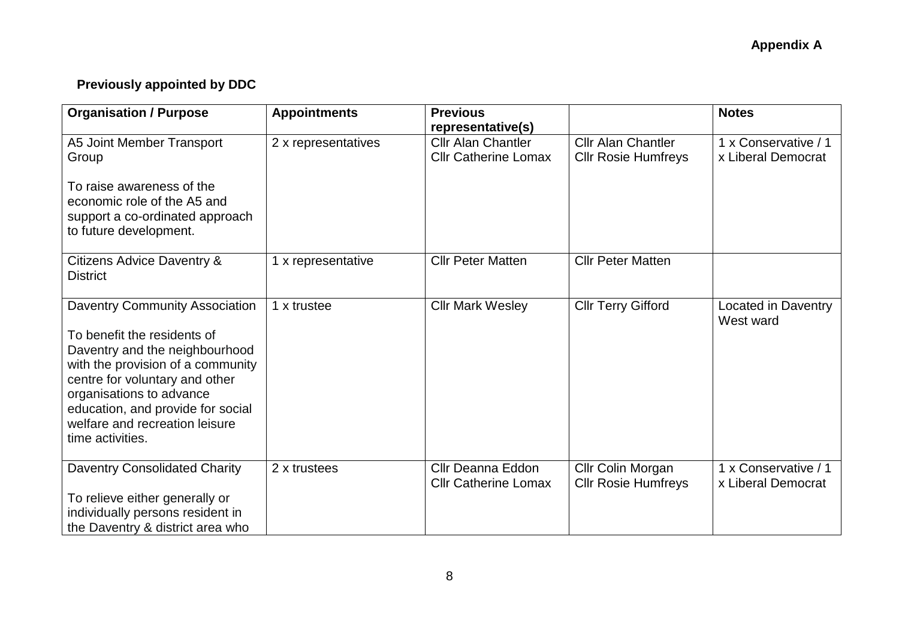# **Previously appointed by DDC**

| <b>Organisation / Purpose</b>                                                                                                                                                                                                                                                                        | <b>Appointments</b> | <b>Previous</b><br>representative(s)                     |                                                         | <b>Notes</b>                               |
|------------------------------------------------------------------------------------------------------------------------------------------------------------------------------------------------------------------------------------------------------------------------------------------------------|---------------------|----------------------------------------------------------|---------------------------------------------------------|--------------------------------------------|
| A5 Joint Member Transport<br>Group<br>To raise awareness of the<br>economic role of the A5 and<br>support a co-ordinated approach<br>to future development.                                                                                                                                          | 2 x representatives | <b>Cllr Alan Chantler</b><br><b>Cllr Catherine Lomax</b> | <b>Cllr Alan Chantler</b><br><b>Cllr Rosie Humfreys</b> | 1 x Conservative / 1<br>x Liberal Democrat |
| Citizens Advice Daventry &<br><b>District</b>                                                                                                                                                                                                                                                        | 1 x representative  | <b>Cllr Peter Matten</b>                                 | <b>Cllr Peter Matten</b>                                |                                            |
| <b>Daventry Community Association</b><br>To benefit the residents of<br>Daventry and the neighbourhood<br>with the provision of a community<br>centre for voluntary and other<br>organisations to advance<br>education, and provide for social<br>welfare and recreation leisure<br>time activities. | 1 x trustee         | <b>Cllr Mark Wesley</b>                                  | <b>Cllr Terry Gifford</b>                               | Located in Daventry<br>West ward           |
| <b>Daventry Consolidated Charity</b><br>To relieve either generally or<br>individually persons resident in<br>the Daventry & district area who                                                                                                                                                       | 2 x trustees        | Cllr Deanna Eddon<br><b>Cllr Catherine Lomax</b>         | Cllr Colin Morgan<br><b>Cllr Rosie Humfreys</b>         | 1 x Conservative / 1<br>x Liberal Democrat |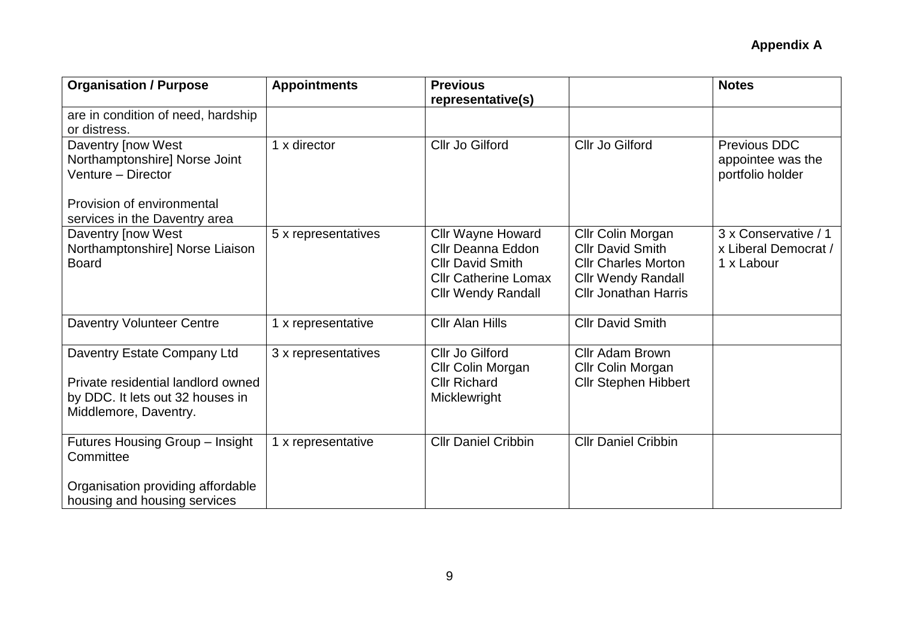| <b>Appointments</b> | <b>Previous</b>                                                                                                                             |                                                                                                                                        | <b>Notes</b>                                               |
|---------------------|---------------------------------------------------------------------------------------------------------------------------------------------|----------------------------------------------------------------------------------------------------------------------------------------|------------------------------------------------------------|
|                     |                                                                                                                                             |                                                                                                                                        |                                                            |
| 1 x director        | Cllr Jo Gilford                                                                                                                             | Cllr Jo Gilford                                                                                                                        | Previous DDC<br>appointee was the<br>portfolio holder      |
| 5 x representatives | <b>Cllr Wayne Howard</b><br><b>Cllr Deanna Eddon</b><br><b>CIIr David Smith</b><br><b>Cllr Catherine Lomax</b><br><b>Cllr Wendy Randall</b> | Cllr Colin Morgan<br><b>Cllr David Smith</b><br><b>Cllr Charles Morton</b><br><b>Cllr Wendy Randall</b><br><b>Cllr Jonathan Harris</b> | 3 x Conservative / 1<br>x Liberal Democrat /<br>1 x Labour |
| 1 x representative  | <b>Cllr Alan Hills</b>                                                                                                                      | <b>Cllr David Smith</b>                                                                                                                |                                                            |
| 3 x representatives | Cllr Jo Gilford<br>Cllr Colin Morgan<br><b>Cllr Richard</b><br>Micklewright                                                                 | <b>Cllr Adam Brown</b><br>Cllr Colin Morgan<br><b>Cllr Stephen Hibbert</b>                                                             |                                                            |
| 1 x representative  | <b>Cllr Daniel Cribbin</b>                                                                                                                  | <b>Cllr Daniel Cribbin</b>                                                                                                             |                                                            |
|                     |                                                                                                                                             | representative(s)                                                                                                                      |                                                            |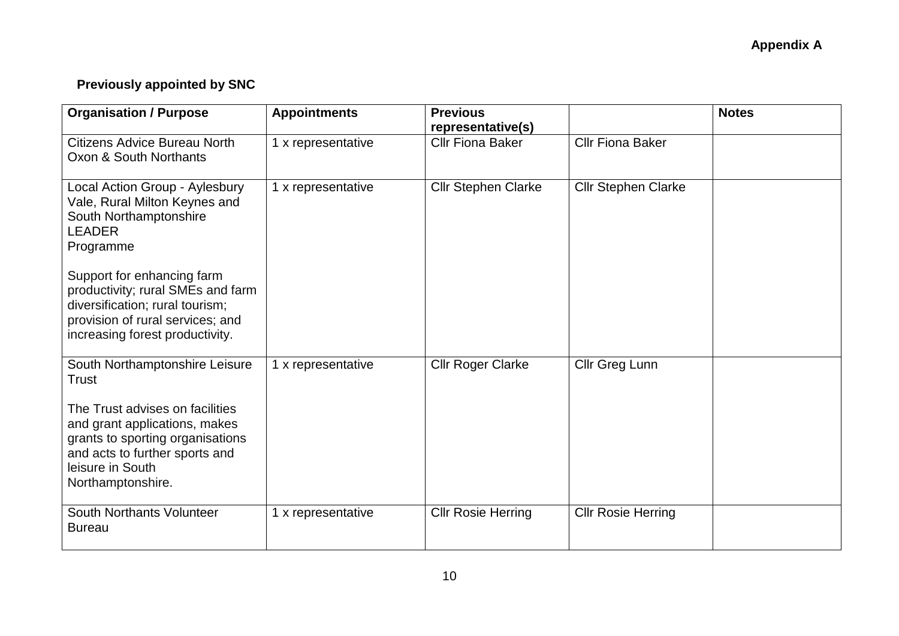# **Previously appointed by SNC**

| <b>Organisation / Purpose</b>                                                                                                                                                   | <b>Appointments</b> | <b>Previous</b><br>representative(s) |                            | <b>Notes</b> |
|---------------------------------------------------------------------------------------------------------------------------------------------------------------------------------|---------------------|--------------------------------------|----------------------------|--------------|
| Citizens Advice Bureau North<br>Oxon & South Northants                                                                                                                          | 1 x representative  | <b>Cllr Fiona Baker</b>              | <b>Cllr Fiona Baker</b>    |              |
| Local Action Group - Aylesbury<br>Vale, Rural Milton Keynes and<br>South Northamptonshire<br><b>LEADER</b><br>Programme                                                         | 1 x representative  | <b>Cllr Stephen Clarke</b>           | <b>Cllr Stephen Clarke</b> |              |
| Support for enhancing farm<br>productivity; rural SMEs and farm<br>diversification; rural tourism;<br>provision of rural services; and<br>increasing forest productivity.       |                     |                                      |                            |              |
| South Northamptonshire Leisure<br>Trust                                                                                                                                         | 1 x representative  | <b>Cllr Roger Clarke</b>             | Cllr Greg Lunn             |              |
| The Trust advises on facilities<br>and grant applications, makes<br>grants to sporting organisations<br>and acts to further sports and<br>leisure in South<br>Northamptonshire. |                     |                                      |                            |              |
| South Northants Volunteer<br><b>Bureau</b>                                                                                                                                      | 1 x representative  | <b>Cllr Rosie Herring</b>            | <b>Cllr Rosie Herring</b>  |              |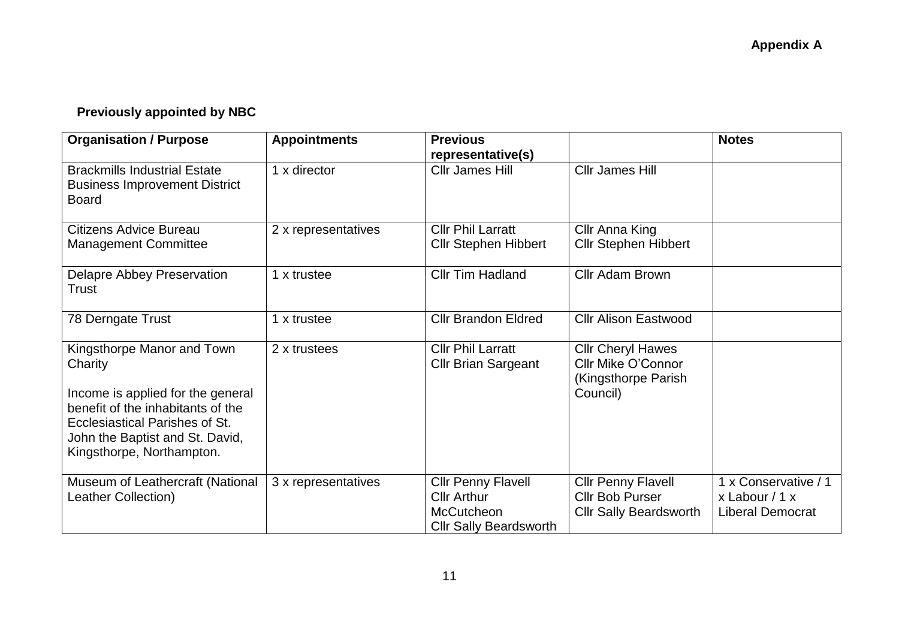# **Previously appointed by NBC**

| <b>Organisation / Purpose</b>                                                                                                                                                                                     | <b>Appointments</b> | <b>Previous</b><br>representative(s)                                                                  |                                                                                          | <b>Notes</b>                                                       |
|-------------------------------------------------------------------------------------------------------------------------------------------------------------------------------------------------------------------|---------------------|-------------------------------------------------------------------------------------------------------|------------------------------------------------------------------------------------------|--------------------------------------------------------------------|
| <b>Brackmills Industrial Estate</b><br><b>Business Improvement District</b><br><b>Board</b>                                                                                                                       | 1 x director        | <b>Cllr James Hill</b>                                                                                | Cllr James Hill                                                                          |                                                                    |
| Citizens Advice Bureau<br><b>Management Committee</b>                                                                                                                                                             | 2 x representatives | <b>Cllr Phil Larratt</b><br><b>Cllr Stephen Hibbert</b>                                               | Cllr Anna King<br><b>Cllr Stephen Hibbert</b>                                            |                                                                    |
| <b>Delapre Abbey Preservation</b><br><b>Trust</b>                                                                                                                                                                 | 1 x trustee         | <b>Cllr Tim Hadland</b>                                                                               | Cllr Adam Brown                                                                          |                                                                    |
| 78 Derngate Trust                                                                                                                                                                                                 | 1 x trustee         | <b>Cllr Brandon Eldred</b>                                                                            | <b>Cllr Alison Eastwood</b>                                                              |                                                                    |
| Kingsthorpe Manor and Town<br>Charity<br>Income is applied for the general<br>benefit of the inhabitants of the<br>Ecclesiastical Parishes of St.<br>John the Baptist and St. David,<br>Kingsthorpe, Northampton. | 2 x trustees        | <b>Cllr Phil Larratt</b><br><b>Cllr Brian Sargeant</b>                                                | <b>Cllr Cheryl Hawes</b><br><b>Cllr Mike O'Connor</b><br>(Kingsthorpe Parish<br>Council) |                                                                    |
| Museum of Leathercraft (National<br>Leather Collection)                                                                                                                                                           | 3 x representatives | <b>Cllr Penny Flavell</b><br><b>Cllr Arthur</b><br><b>McCutcheon</b><br><b>Cllr Sally Beardsworth</b> | <b>Cllr Penny Flavell</b><br><b>Cllr Bob Purser</b><br><b>Cllr Sally Beardsworth</b>     | 1 x Conservative / 1<br>x Labour $/1 x$<br><b>Liberal Democrat</b> |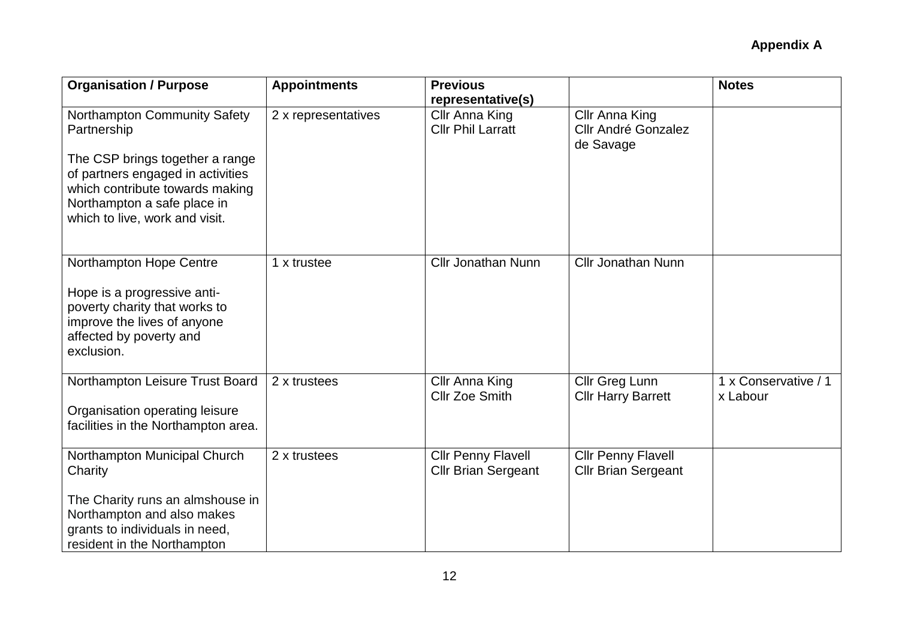| <b>Organisation / Purpose</b>                                                                                                                                              | <b>Appointments</b> | <b>Previous</b>                                         |                                                           | <b>Notes</b>                     |
|----------------------------------------------------------------------------------------------------------------------------------------------------------------------------|---------------------|---------------------------------------------------------|-----------------------------------------------------------|----------------------------------|
|                                                                                                                                                                            |                     | representative(s)                                       |                                                           |                                  |
| Northampton Community Safety<br>Partnership<br>The CSP brings together a range<br>of partners engaged in activities<br>which contribute towards making                     | 2 x representatives | Cllr Anna King<br><b>Cllr Phil Larratt</b>              | Cllr Anna King<br><b>Cllr André Gonzalez</b><br>de Savage |                                  |
| Northampton a safe place in<br>which to live, work and visit.                                                                                                              |                     |                                                         |                                                           |                                  |
| Northampton Hope Centre<br>Hope is a progressive anti-<br>poverty charity that works to<br>improve the lives of anyone<br>affected by poverty and<br>exclusion.            | 1 x trustee         | <b>Cllr Jonathan Nunn</b>                               | <b>Cllr Jonathan Nunn</b>                                 |                                  |
| Northampton Leisure Trust Board<br>Organisation operating leisure<br>facilities in the Northampton area.                                                                   | 2 x trustees        | Cllr Anna King<br><b>Cllr Zoe Smith</b>                 | Cllr Greg Lunn<br><b>Cllr Harry Barrett</b>               | 1 x Conservative / 1<br>x Labour |
| Northampton Municipal Church<br>Charity<br>The Charity runs an almshouse in<br>Northampton and also makes<br>grants to individuals in need,<br>resident in the Northampton | 2 x trustees        | <b>Cllr Penny Flavell</b><br><b>Cllr Brian Sergeant</b> | <b>Cllr Penny Flavell</b><br><b>Cllr Brian Sergeant</b>   |                                  |